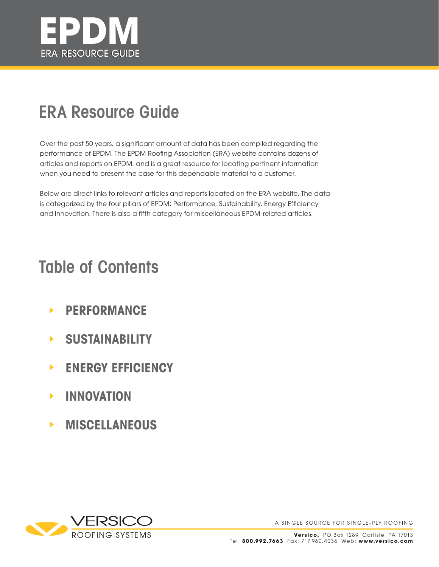

## **ERA Resource Guide**

Over the past 50 years, a significant amount of data has been compiled regarding the performance of EPDM. The EPDM Roofing Association (ERA) website contains dozens of articles and reports on EPDM, and is a great resource for locating pertinent information when you need to present the case for this dependable material to a customer.

Below are direct links to relevant articles and reports located on the ERA website. The data is categorized by the four pillars of EPDM: Performance, Sustainability, Energy Efficiency and Innovation. There is also a fifth category for miscellaneous EPDM-related articles.

## **Table of Contents**

- **PERFORMANCE**  $\blacktriangleright$
- **SUSTAINABILITY**  $\blacktriangleright$
- **ENERGY EFFICIENCY**  $\blacktriangleright$
- **INNOVATION**  $\blacktriangleright$
- **MISCELLANEOUS**  $\blacktriangleright$

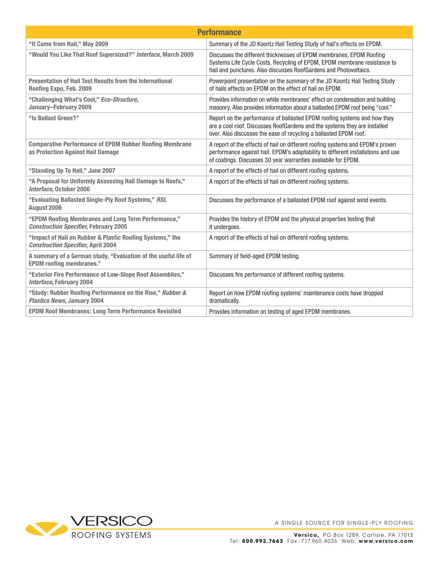| <b>Performance</b>                                                                                     |                                                                                                                                                                                                                                      |  |
|--------------------------------------------------------------------------------------------------------|--------------------------------------------------------------------------------------------------------------------------------------------------------------------------------------------------------------------------------------|--|
| "It Came from Hail," May 2009                                                                          | Summary of the JD Koontz Hail Testing Study of hail's effects on EPDM.                                                                                                                                                               |  |
| "Would You Like That Roof Supersized?" Interface, March 2009                                           | Discusses the different thicknesses of EPDM membranes. EPDM Roofing<br>Systems Life Cycle Costs, Recycling of EPDM, EPDM membrane resistance to<br>hail and punctures. Also discusses RoofGardens and Photovoltaics.                 |  |
| <b>Presentation of Hail Test Results from the International</b><br>Roofing Expo, Feb. 2009             | Powerpoint presentation on the summary of the JD Koontz Hail Testing Study<br>of hails effects on EPDM on the effect of hail on EPDM.                                                                                                |  |
| "Challenging What's Cool," Eco-Structure,<br>January-February 2009                                     | Provides information on white membranes' effect on condensation and building<br>masonry. Also provides information about a ballasted EPDM roof being "cool."                                                                         |  |
| "Is Ballast Green?"                                                                                    | Report on the performance of ballasted EPDM roofing systems and how they<br>are a cool roof. Discusses RoofGardens and the systems they are installed<br>over. Also discusses the ease of recycling a ballasted EPDM roof.           |  |
| <b>Comparative Performance of EPDM Rubber Roofing Membrane</b><br>as Protection Against Hail Damage    | A report of the effects of hail on different roofing systems and EPDM's proven<br>performance against hail. EPDM's adaptability to different installations and use<br>of coatings. Discusses 30 year warranties availabile for EPDM. |  |
| "Standing Up To Hail," June 2007                                                                       | A report of the effects of hail on different roofing systems.                                                                                                                                                                        |  |
| "A Proposal for Uniformly Assessing Hail Damage to Roofs,"<br>Interface, October 2006                  | A report of the effects of hail on different roofing systems.                                                                                                                                                                        |  |
| "Evaluating Ballasted Single-Ply Roof Systems," RSI,<br>August 2006                                    | Discusses the performance of a ballasted EPDM roof against wind events.                                                                                                                                                              |  |
| "EPDM Roofing Membranes and Long Term Performance,"<br><b>Construction Specifier, February 2005</b>    | Provides the history of EPDM and the physical properties testing that<br>it undergoes.                                                                                                                                               |  |
| "Impact of Hail on Rubber & Plastic Roofing Systems," the<br><b>Construction Specifier, April 2004</b> | A report of the effects of hail on different roofing systems.                                                                                                                                                                        |  |
| A summary of a German study, "Evaluation of the useful life of<br><b>EPDM</b> roofing membranes."      | Summary of field-aged EPDM testing.                                                                                                                                                                                                  |  |
| "Exterior Fire Performance of Low-Slope Roof Assemblies,"<br><b>Interface, February 2004</b>           | Discusses fire performance of different roofing systems.                                                                                                                                                                             |  |
| "Study: Rubber Roofing Performance on the Rise," Rubber &<br><b>Plastics News, January 2004</b>        | Report on how EPDM roofing systems' maintenance costs have dropped<br>dramatically.                                                                                                                                                  |  |
| <b>EPDM Roof Membranes: Long Term Performance Revisited</b>                                            | Provides information on testing of aged EPDM membranes.                                                                                                                                                                              |  |

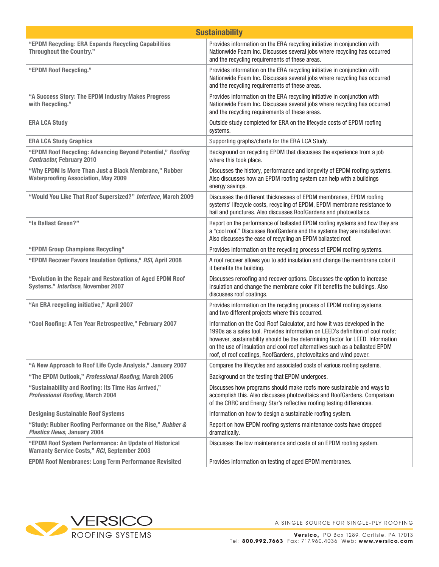|                                                                                                               | <b>Sustainability</b>                                                                                                                                                                                                                                                                                                                                                                               |
|---------------------------------------------------------------------------------------------------------------|-----------------------------------------------------------------------------------------------------------------------------------------------------------------------------------------------------------------------------------------------------------------------------------------------------------------------------------------------------------------------------------------------------|
| "EPDM Recycling: ERA Expands Recycling Capabilities<br><b>Throughout the Country."</b>                        | Provides information on the ERA recycling initiative in conjunction with<br>Nationwide Foam Inc. Discusses several jobs where recycling has occurred<br>and the recycling requirements of these areas.                                                                                                                                                                                              |
| "EPDM Roof Recycling."                                                                                        | Provides information on the ERA recycling initiative in conjunction with<br>Nationwide Foam Inc. Discusses several jobs where recycling has occurred<br>and the recycling requirements of these areas.                                                                                                                                                                                              |
| "A Success Story: The EPDM Industry Makes Progress<br>with Recycling."                                        | Provides information on the ERA recycling initiative in conjunction with<br>Nationwide Foam Inc. Discusses several jobs where recycling has occurred<br>and the recycling requirements of these areas.                                                                                                                                                                                              |
| <b>ERA LCA Study</b>                                                                                          | Outside study completed for ERA on the lifecycle costs of EPDM roofing<br>systems.                                                                                                                                                                                                                                                                                                                  |
| <b>ERA LCA Study Graphics</b>                                                                                 | Supporting graphs/charts for the ERA LCA Study.                                                                                                                                                                                                                                                                                                                                                     |
| "EPDM Roof Recycling: Advancing Beyond Potential," Roofing<br><b>Contractor, February 2010</b>                | Background on recycling EPDM that discusses the experience from a job<br>where this took place.                                                                                                                                                                                                                                                                                                     |
| "Why EPDM Is More Than Just a Black Membrane," Rubber<br><b>Waterproofing Association, May 2009</b>           | Discusses the history, performance and longevity of EPDM roofing systems.<br>Also discusses how an EPDM roofing system can help with a buildings<br>energy savings.                                                                                                                                                                                                                                 |
| "Would You Like That Roof Supersized?" Interface, March 2009                                                  | Discusses the different thicknesses of EPDM membranes, EPDM roofing<br>systems' lifecycle costs, recycling of EPDM, EPDM membrane resistance to<br>hail and punctures. Also discusses RoofGardens and photovoltaics.                                                                                                                                                                                |
| "Is Ballast Green?"                                                                                           | Report on the performance of ballasted EPDM roofing systems and how they are<br>a "cool roof." Discusses RoofGardens and the systems they are installed over.<br>Also discusses the ease of recycling an EPDM ballasted roof.                                                                                                                                                                       |
| "EPDM Group Champions Recycling"                                                                              | Provides information on the recycling process of EPDM roofing systems.                                                                                                                                                                                                                                                                                                                              |
| "EPDM Recover Favors Insulation Options," RSI, April 2008                                                     | A roof recover allows you to add insulation and change the membrane color if<br>it benefits the building.                                                                                                                                                                                                                                                                                           |
| "Evolution in the Repair and Restoration of Aged EPDM Roof<br>Systems." Interface, November 2007              | Discusses reroofing and recover options. Discusses the option to increase<br>insulation and change the membrane color if it benefits the buildings. Also<br>discusses roof coatings.                                                                                                                                                                                                                |
| "An ERA recycling initiative," April 2007                                                                     | Provides information on the recycling process of EPDM roofing systems,<br>and two different projects where this occurred.                                                                                                                                                                                                                                                                           |
| "Cool Roofing: A Ten Year Retrospective," February 2007                                                       | Information on the Cool Roof Calculator, and how it was developed in the<br>1990s as a sales tool. Provides information on LEED's definition of cool roofs;<br>however, sustainability should be the determining factor for LEED. Information<br>on the use of insulation and cool roof alternatives such as a ballasted EPDM<br>roof, of roof coatings, RoofGardens, photovoltaics and wind power. |
| "A New Approach to Roof Life Cycle Analysis," January 2007                                                    | Compares the lifecycles and associated costs of various roofing systems.                                                                                                                                                                                                                                                                                                                            |
| "The EPDM Outlook," Professional Roofing, March 2005                                                          | Background on the testing that EPDM undergoes.                                                                                                                                                                                                                                                                                                                                                      |
| "Sustainability and Roofing: Its Time Has Arrived,"<br><b>Professional Roofing, March 2004</b>                | Discusses how programs should make roofs more sustainable and ways to<br>accomplish this. Also discusses photovoltaics and RoofGardens. Comparison<br>of the CRRC and Energy Star's reflective roofing testing differences.                                                                                                                                                                         |
| <b>Designing Sustainable Roof Systems</b>                                                                     | Information on how to design a sustainable roofing system.                                                                                                                                                                                                                                                                                                                                          |
| "Study: Rubber Roofing Performance on the Rise," Rubber &<br><b>Plastics News, January 2004</b>               | Report on how EPDM roofing systems maintenance costs have dropped<br>dramatically.                                                                                                                                                                                                                                                                                                                  |
| "EPDM Roof System Performance: An Update of Historical<br><b>Warranty Service Costs," RCI, September 2003</b> | Discusses the low maintenance and costs of an EPDM roofing system.                                                                                                                                                                                                                                                                                                                                  |
| <b>EPDM Roof Membranes: Long Term Performance Revisited</b>                                                   | Provides information on testing of aged EPDM membranes.                                                                                                                                                                                                                                                                                                                                             |

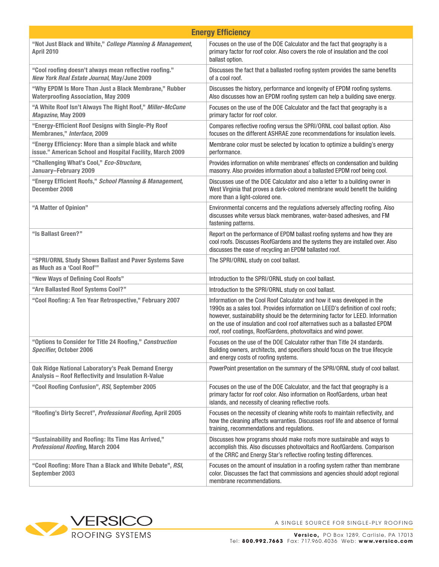| <b>Energy Efficiency</b>                                                                                            |                                                                                                                                                                                                                                                                                                                                                                                                 |  |
|---------------------------------------------------------------------------------------------------------------------|-------------------------------------------------------------------------------------------------------------------------------------------------------------------------------------------------------------------------------------------------------------------------------------------------------------------------------------------------------------------------------------------------|--|
| "Not Just Black and White," College Planning & Management,<br><b>April 2010</b>                                     | Focuses on the use of the DOE Calculator and the fact that geography is a<br>primary factor for roof color. Also covers the role of insulation and the cool<br>ballast option.                                                                                                                                                                                                                  |  |
| "Cool roofing doesn't always mean reflective roofing."<br>New York Real Estate Journal, May/June 2009               | Discusses the fact that a ballasted roofing system provides the same benefits<br>of a cool roof.                                                                                                                                                                                                                                                                                                |  |
| "Why EPDM Is More Than Just a Black Membrane," Rubber<br><b>Waterproofing Association, May 2009</b>                 | Discusses the history, performance and longevity of EPDM roofing systems.<br>Also discusses how an EPDM roofing system can help a building save energy.                                                                                                                                                                                                                                         |  |
| "A White Roof Isn't Always The Right Roof," Miller-McCune<br>Magazine, May 2009                                     | Focuses on the use of the DOE Calculator and the fact that geography is a<br>primary factor for roof color.                                                                                                                                                                                                                                                                                     |  |
| "Energy-Efficient Roof Designs with Single-Ply Roof<br>Membranes," Interface, 2009                                  | Compares reflective roofing versus the SPRI/ORNL cool ballast option. Also<br>focuses on the different ASHRAE zone recommendations for insulation levels.                                                                                                                                                                                                                                       |  |
| "Energy Efficiency: More than a simple black and white<br>issue." American School and Hospital Facility, March 2009 | Membrane color must be selected by location to optimize a building's energy<br>performance.                                                                                                                                                                                                                                                                                                     |  |
| "Challenging What's Cool," Eco-Structure,<br>January-February 2009                                                  | Provides information on white membranes' effects on condensation and building<br>masonry. Also provides information about a ballasted EPDM roof being cool.                                                                                                                                                                                                                                     |  |
| "Energy Efficient Roofs," School Planning & Management,<br>December 2008                                            | Discusses use of the DOE Calculator and also a letter to a building owner in<br>West Virginia that proves a dark-colored membrane would benefit the building<br>more than a light-colored one.                                                                                                                                                                                                  |  |
| "A Matter of Opinion"                                                                                               | Environmental concerns and the regulations adversely affecting roofing. Also<br>discusses white versus black membranes, water-based adhesives, and FM<br>fastening patterns.                                                                                                                                                                                                                    |  |
| "Is Ballast Green?"                                                                                                 | Report on the performance of EPDM ballast roofing systems and how they are<br>cool roofs. Discusses RoofGardens and the systems they are installed over. Also<br>discusses the ease of recycling an EPDM ballasted roof.                                                                                                                                                                        |  |
| "SPRI/ORNL Study Shows Ballast and Paver Systems Save<br>as Much as a 'Cool Roof'"                                  | The SPRI/ORNL study on cool ballast.                                                                                                                                                                                                                                                                                                                                                            |  |
| "New Ways of Defining Cool Roofs"                                                                                   | Introduction to the SPRI/ORNL study on cool ballast.                                                                                                                                                                                                                                                                                                                                            |  |
| "Are Ballasted Roof Systems Cool?"                                                                                  | Introduction to the SPRI/ORNL study on cool ballast.                                                                                                                                                                                                                                                                                                                                            |  |
| "Cool Roofing: A Ten Year Retrospective," February 2007                                                             | Information on the Cool Roof Calculator and how it was developed in the<br>1990s as a sales tool. Provides information on LEED's definition of cool roofs;<br>however, sustainability should be the determining factor for LEED. Information<br>on the use of insulation and cool roof alternatives such as a ballasted EPDM<br>roof, roof coatings, RoofGardens, photovoltaics and wind power. |  |
| "Options to Consider for Title 24 Roofing," Construction<br><b>Specifier, October 2006</b>                          | Focuses on the use of the DOE Calculator rather than Title 24 standards.<br>Building owners, architects, and specifiers should focus on the true lifecycle<br>and energy costs of roofing systems.                                                                                                                                                                                              |  |
| <b>Oak Ridge National Laboratory's Peak Demand Energy</b><br>Analysis - Roof Reflectivity and Insulation R-Value    | PowerPoint presentation on the summary of the SPRI/ORNL study of cool ballast.                                                                                                                                                                                                                                                                                                                  |  |
| "Cool Roofing Confusion", RSI, September 2005                                                                       | Focuses on the use of the DOE Calculator, and the fact that geography is a<br>primary factor for roof color. Also information on RoofGardens, urban heat<br>islands, and necessity of cleaning reflective roofs.                                                                                                                                                                                |  |
| "Roofing's Dirty Secret", Professional Roofing, April 2005                                                          | Focuses on the necessity of cleaning white roofs to maintain reflectivity, and<br>how the cleaning affects warranties. Discusses roof life and absence of formal<br>training, recommendations and regulations.                                                                                                                                                                                  |  |
| "Sustainability and Roofing: Its Time Has Arrived,"<br><b>Professional Roofing, March 2004</b>                      | Discusses how programs should make roofs more sustainable and ways to<br>accomplish this. Also discusses photovoltaics and RoofGardens. Comparison<br>of the CRRC and Energy Star's reflective roofing testing differences.                                                                                                                                                                     |  |
| "Cool Roofing: More Than a Black and White Debate", RSI,<br>September 2003                                          | Focuses on the amount of insulation in a roofing system rather than membrane<br>color. Discusses the fact that commissions and agencies should adopt regional<br>membrane recommendations.                                                                                                                                                                                                      |  |